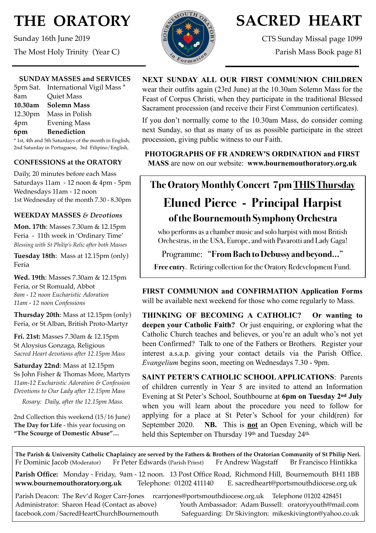# **THE ORATORY**

Sunday 16th June 2019 The Most Holy Trinity (Year C)

### **SUNDAY MASSES and SERVICES**

|                                                     | 5pm Sat. International Vigil Mass * |  |
|-----------------------------------------------------|-------------------------------------|--|
| 8am                                                 | <b>Quiet Mass</b>                   |  |
|                                                     | 10.30am Solemn Mass                 |  |
|                                                     | 12.30pm Mass in Polish              |  |
| 4pm                                                 | <b>Evening Mass</b>                 |  |
| 6pm                                                 | <b>Benediction</b>                  |  |
| * Let 4th and 5th Saturdays of the month in English |                                     |  |

4th and 5th Saturdays of the month in English, 2nd Saturday in Portuguese, 3rd Filipino/English,

### **CONFESSIONS at the ORATORY**

Daily, 20 minutes before each Mass Saturdays 11am - 12 noon & 4pm - 5pm Wednesdays 11am - 12 noon 1st Wednesday of the month 7.30 - 8.30pm

### **WEEKDAY MASSES** *& Devotions*

**Mon. 17th**: Masses 7.30am & 12.15pm Feria - 11th week in 'Ordinary Time' *Blessing with St Philip's Relic after both Masses*

**Tuesday 18th**: Mass at 12.15pm (only) Feria

**Wed. 19th**: Masses 7.30am & 12.15pm Feria, or St Romuald, Abbot *8am - 12 noon Eucharistic Adoration 11am - 12 noon Confessions*

**Thursday 20th**: Mass at 12.15pm (only) Feria, or St Alban, British Proto-Martyr

**Fri. 21st:** Masses 7.30am & 12.15pm St Aloysius Gonzaga, Religious *Sacred Heart devotions after 12.15pm Mass*

**Saturday 22nd**: Mass at 12.15pm Ss John Fisher & Thomas More, Martyrs *11am-12 Eucharistic Adoration & Confession Devotions to Our Lady after 12.15pm Mass*

*Rosary: Daily, after the 12.15pm Mass.*

2nd Collection this weekend (15/16 June) **The Day for Life** - this year focusing on **"The Scourge of Domestic Abuse"…**



# **SACRED HEART**

CTS Sunday Missal page 1099

Parish Mass Book page 81

### **NEXT SUNDAY ALL OUR FIRST COMMUNION CHILDREN**

wear their outfits again (23rd June) at the 10.30am Solemn Mass for the Feast of Corpus Christi, when they participate in the traditional Blessed Sacrament procession (and receive their First Communion certificates).

If you don't normally come to the 10.30am Mass, do consider coming next Sunday, so that as many of us as possible participate in the street procession, giving public witness to our Faith.

**PHOTOGRAPHS OF FR ANDREW'S ORDINATION and FIRST MASS** are now on our website: **[www.bournemouthoratory.org.uk](http://www.bournemouthoratory.org.uk)** 

# **The Oratory Monthly Concert 7pm THIS Thursday**

## **Eluned Pierce - Principal Harpist of the Bournemouth Symphony Orchestra**

who performs as a chamber music and solo harpist with most British Orchestras, in the USA, Europe, and with Pavarotti and Lady Gaga!

### Programme: "**From Bach to Debussy and beyond…**"

**Free entry**. Retiring collection for the Oratory Redevelopment Fund.

**FIRST COMMUNION and CONFIRMATION Application Forms**  will be available next weekend for those who come regularly to Mass.

**THINKING OF BECOMING A CATHOLIC? Or wanting to deepen your Catholic Faith?** Or just enquiring, or exploring what the Catholic Church teaches and believes, or you're an adult who's not yet been Confirmed? Talk to one of the Fathers or Brothers. Register your interest a.s.a.p. giving your contact details via the Parish Office. *Evangelium* begins soon, meeting on Wednesdays 7.30 - 9pm.

**SAINT PETER'S CATHOLIC SCHOOL APPLICATIONS**: Parents of children currently in Year 5 are invited to attend an Information Evening at St Peter's School, Southbourne at **6pm on Tuesday 2nd July**  when you will learn about the procedure you need to follow for applying for a place at St Peter's School for your child(ren) for September 2020. **NB.** This is **not** an Open Evening, which will be held this September on Thursday 19th and Tuesday 24th.

**The Parish & University Catholic Chaplaincy are served by the Fathers & Brothers of the Oratorian Community of St Philip Neri.** Fr Dominic Jacob (Moderator) Fr Peter Edwards (Parish Priest) Fr Andrew Wagstaff Br Francisco Hintikka

**Parish Office:** Monday - Friday, 9am - 12 noon. 13 Post Office Road, Richmond Hill, Bournemouth BH1 1BB **[www.bournemouthoratory.org.uk](http://www.bournemoithoratory.org.uk)** Telephone: 01202 411140 E. [sacredheart@portsmouthdiocese.org.uk](mailto:sacredheart@portsmouthdiocese.org.uk)

Parish Deacon: The Rev'd Roger Carr-Jones [rcarrjones@portsmouthdiocese.org.uk](mailto:rcarrjones@portsmouthdiocese.org.uk) Telephone 01202 428451 Administrator: Sharon Head (Contact as above) Youth Ambassador: Adam Bussell: [oratoryyouth@mail.com](http://oratoryyouth.mail.com) [facebook.com/SacredHeartChurchBournemouth](http://facebook.com/SaccredHeartChurchBournemouth) Safeguarding: Dr Skivington: mikeskivington@yahoo.co.uk